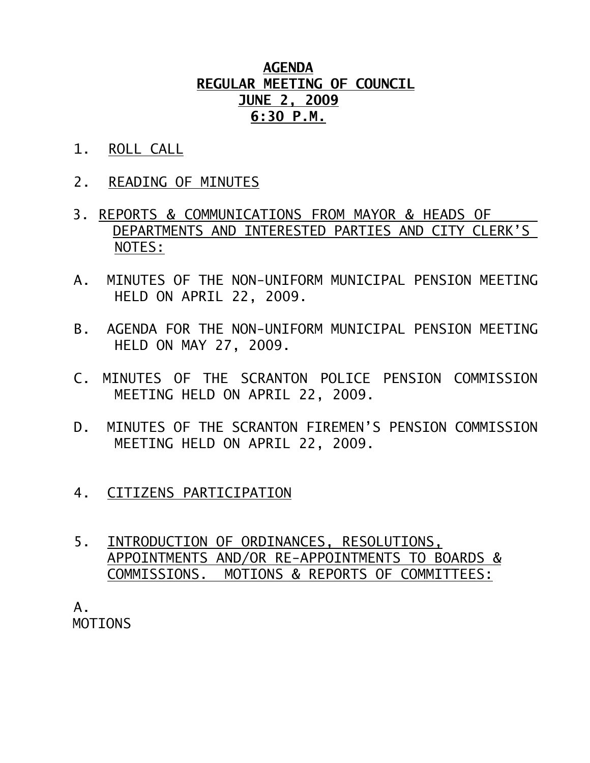## **AGENDA REGULAR MEETING OF COUNCIL JUNE 2, 2009 6:30 P.M.**

- 1. ROLL CALL
- 2. READING OF MINUTES
- 3. REPORTS & COMMUNICATIONS FROM MAYOR & HEADS OF DEPARTMENTS AND INTERESTED PARTIES AND CITY CLERK'S NOTES:
- A. MINUTES OF THE NON-UNIFORM MUNICIPAL PENSION MEETING HELD ON APRIL 22, 2009.
- B. AGENDA FOR THE NON-UNIFORM MUNICIPAL PENSION MEETING HELD ON MAY 27, 2009.
- C. MINUTES OF THE SCRANTON POLICE PENSION COMMISSION MEETING HELD ON APRIL 22, 2009.
- D. MINUTES OF THE SCRANTON FIREMEN'S PENSION COMMISSION MEETING HELD ON APRIL 22, 2009.
- 4. CITIZENS PARTICIPATION
- 5. INTRODUCTION OF ORDINANCES, RESOLUTIONS, APPOINTMENTS AND/OR RE-APPOINTMENTS TO BOARDS & COMMISSIONS. MOTIONS & REPORTS OF COMMITTEES:

 A. MOTIONS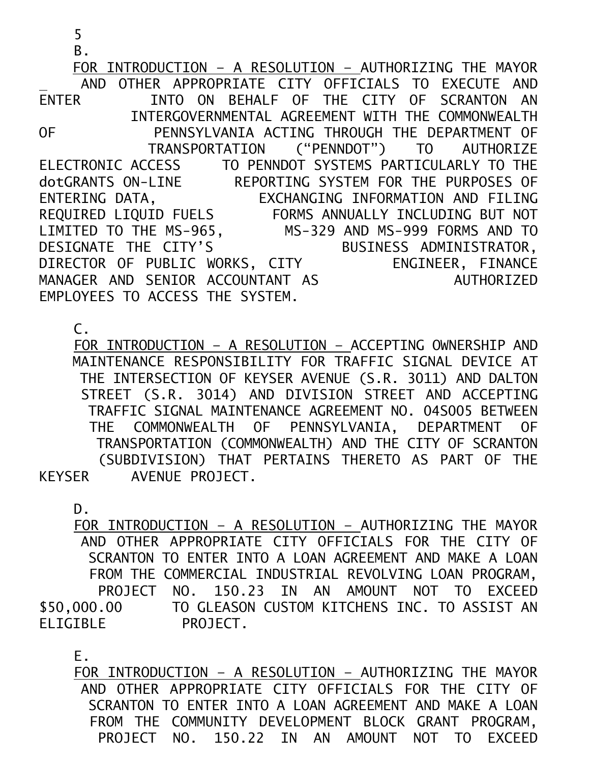FOR INTRODUCTION – A RESOLUTION – AUTHORIZING THE MAYOR AND OTHER APPROPRIATE CITY OFFICIALS TO EXECUTE AND ENTER INTO ON BEHALF OF THE CITY OF SCRANTON AN INTERGOVERNMENTAL AGREEMENT WITH THE COMMONWEALTH OF PENNSYLVANIA ACTING THROUGH THE DEPARTMENT OF TRANSPORTATION ("PENNDOT") TO AUTHORIZE ELECTRONIC ACCESS TO PENNDOT SYSTEMS PARTICULARLY TO THE dotGRANTS ON-LINE REPORTING SYSTEM FOR THE PURPOSES OF ENTERING DATA, EXCHANGING INFORMATION AND FILING REQUIRED LIQUID FUELS FORMS ANNUALLY INCLUDING BUT NOT LIMITED TO THE MS-965, MS-329 AND MS-999 FORMS AND TO DESIGNATE THE CITY'S BUSINESS ADMINISTRATOR, DIRECTOR OF PUBLIC WORKS, CITY ENGINEER, FINANCE MANAGER AND SENIOR ACCOUNTANT AS AUTHORIZED EMPLOYEES TO ACCESS THE SYSTEM.

C.

 5 B.

 FOR INTRODUCTION – A RESOLUTION – ACCEPTING OWNERSHIP AND MAINTENANCE RESPONSIBILITY FOR TRAFFIC SIGNAL DEVICE AT THE INTERSECTION OF KEYSER AVENUE (S.R. 3011) AND DALTON STREET (S.R. 3014) AND DIVISION STREET AND ACCEPTING TRAFFIC SIGNAL MAINTENANCE AGREEMENT NO. 04S005 BETWEEN THE COMMONWEALTH OF PENNSYLVANIA, DEPARTMENT OF TRANSPORTATION (COMMONWEALTH) AND THE CITY OF SCRANTON (SUBDIVISION) THAT PERTAINS THERETO AS PART OF THE KEYSER AVENUE PROJECT.

D.

 FOR INTRODUCTION – A RESOLUTION – AUTHORIZING THE MAYOR AND OTHER APPROPRIATE CITY OFFICIALS FOR THE CITY OF SCRANTON TO ENTER INTO A LOAN AGREEMENT AND MAKE A LOAN FROM THE COMMERCIAL INDUSTRIAL REVOLVING LOAN PROGRAM, PROJECT NO. 150.23 IN AN AMOUNT NOT TO EXCEED \$50,000.00 TO GLEASON CUSTOM KITCHENS INC. TO ASSIST AN ELIGIBLE PROJECT.

E.

 FOR INTRODUCTION – A RESOLUTION – AUTHORIZING THE MAYOR AND OTHER APPROPRIATE CITY OFFICIALS FOR THE CITY OF SCRANTON TO ENTER INTO A LOAN AGREEMENT AND MAKE A LOAN FROM THE COMMUNITY DEVELOPMENT BLOCK GRANT PROGRAM, PROJECT NO. 150.22 IN AN AMOUNT NOT TO EXCEED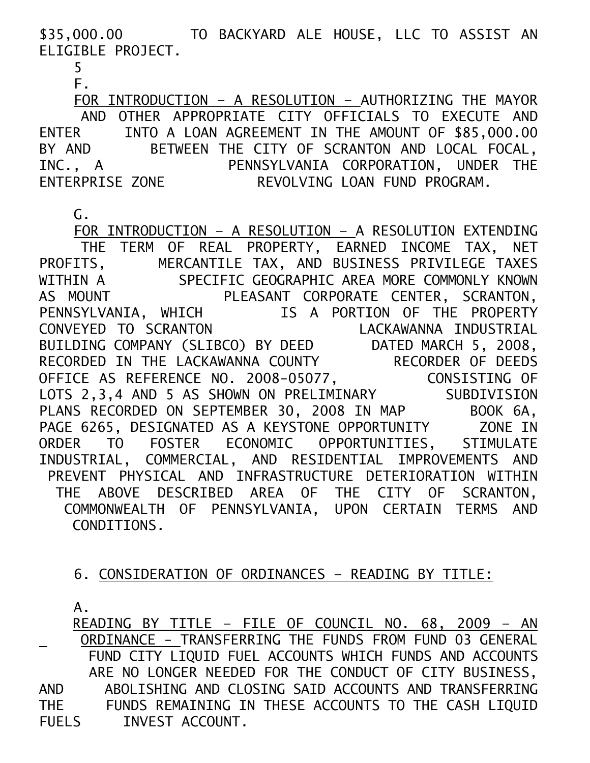\$35,000.00 TO BACKYARD ALE HOUSE, LLC TO ASSIST AN ELIGIBLE PROJECT.

5

F.

 FOR INTRODUCTION – A RESOLUTION – AUTHORIZING THE MAYOR AND OTHER APPROPRIATE CITY OFFICIALS TO EXECUTE AND ENTER INTO A LOAN AGREEMENT IN THE AMOUNT OF \$85,000.00<br>BY AND BETWEEN THE CITY OF SCRANTON AND LOCAL FOCAL, BETWEEN THE CITY OF SCRANTON AND LOCAL FOCAL, INC., A PENNSYLVANIA CORPORATION, UNDER THE ENTERPRISE ZONE REVOLVING LOAN FUND PROGRAM.

G.

 FOR INTRODUCTION – A RESOLUTION – A RESOLUTION EXTENDING THE TERM OF REAL PROPERTY, EARNED INCOME TAX, NET PROFITS, MERCANTILE TAX, AND BUSINESS PRIVILEGE TAXES WITHIN A SPECIFIC GEOGRAPHIC AREA MORE COMMONLY KNOWN AS MOUNT PLEASANT CORPORATE CENTER, SCRANTON, PENNSYLVANIA, WHICH IS A PORTION OF THE PROPERTY<br>CONVEYED TO SCRANTON LACKAWANNA INDUSTRIAL CONVEYED TO SCRANTON LACKAWANNA INDUSTRIAL BUILDING COMPANY (SLIBCO) BY DEED DATED MARCH 5, 2008, RECORDED IN THE LACKAWANNA COUNTY RECORDER OF DEEDS OFFICE AS REFERENCE NO. 2008-05077, CONSISTING OF LOTS 2,3,4 AND 5 AS SHOWN ON PRELIMINARY SUBDIVISION PLANS RECORDED ON SEPTEMBER 30, 2008 IN MAP BOOK 6A, PAGE 6265, DESIGNATED AS A KEYSTONE OPPORTUNITY ZONE IN ORDER TO FOSTER ECONOMIC OPPORTUNITIES, STIMULATE INDUSTRIAL, COMMERCIAL, AND RESIDENTIAL IMPROVEMENTS AND PREVENT PHYSICAL AND INFRASTRUCTURE DETERIORATION WITHIN THE ABOVE DESCRIBED AREA OF THE CITY OF SCRANTON, COMMONWEALTH OF PENNSYLVANIA, UPON CERTAIN TERMS AND CONDITIONS.

## 6. CONSIDERATION OF ORDINANCES – READING BY TITLE:

A.

 READING BY TITLE – FILE OF COUNCIL NO. 68, 2009 – AN ORDINANCE - TRANSFERRING THE FUNDS FROM FUND 03 GENERAL FUND CITY LIQUID FUEL ACCOUNTS WHICH FUNDS AND ACCOUNTS ARE NO LONGER NEEDED FOR THE CONDUCT OF CITY BUSINESS, AND ABOLISHING AND CLOSING SAID ACCOUNTS AND TRANSFERRING THE FUNDS REMAINING IN THESE ACCOUNTS TO THE CASH LIQUID FUELS INVEST ACCOUNT.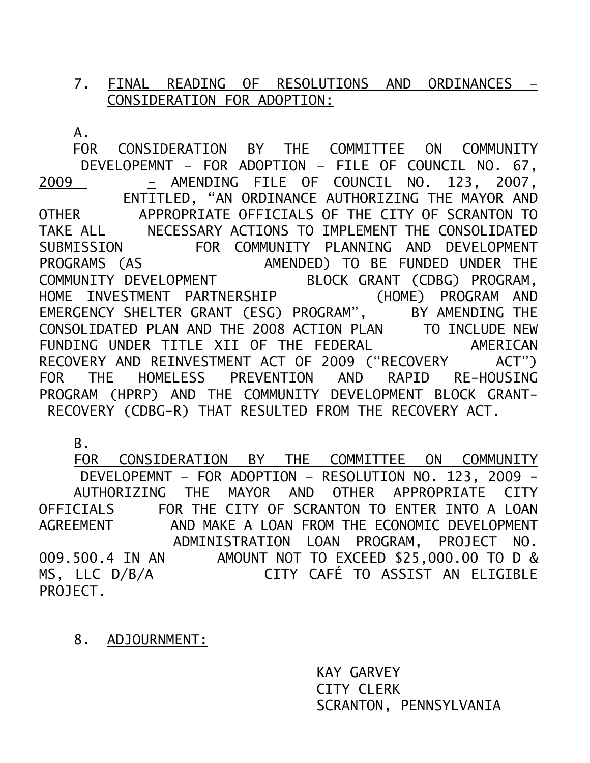## 7. FINAL READING OF RESOLUTIONS AND ORDINANCES – CONSIDERATION FOR ADOPTION:

A.

 FOR CONSIDERATION BY THE COMMITTEE ON COMMUNITY <u>DEVELOPEMNT – FOR ADOPTION – FILE OF COUNCIL NO. 67,</u><br>2009 AMENDING FILE OF COUNCIL NO. 123, 2007, - AMENDING FILE OF COUNCIL NO. 123, 2007, ENTITLED, "AN ORDINANCE AUTHORIZING THE MAYOR AND OTHER APPROPRIATE OFFICIALS OF THE CITY OF SCRANTON TO TAKE ALL NECESSARY ACTIONS TO IMPLEMENT THE CONSOLIDATED SUBMISSION FOR COMMUNITY PLANNING AND DEVELOPMENT PROGRAMS (AS AMENDED) TO BE FUNDED UNDER THE COMMUNITY DEVELOPMENT BLOCK GRANT (CDBG) PROGRAM, HOME INVESTMENT PARTNERSHIP (HOME) PROGRAM AND EMERGENCY SHELTER GRANT (ESG) PROGRAM", BY AMENDING THE CONSOLIDATED PLAN AND THE 2008 ACTION PLAN TO INCLUDE NEW FUNDING UNDER TITLE XII OF THE FEDERAL AMERICAN RECOVERY AND REINVESTMENT ACT OF 2009 ("RECOVERY ACT") FOR THE HOMELESS PREVENTION AND RAPID RE-HOUSING PROGRAM (HPRP) AND THE COMMUNITY DEVELOPMENT BLOCK GRANT- RECOVERY (CDBG-R) THAT RESULTED FROM THE RECOVERY ACT.

B.

 FOR CONSIDERATION BY THE COMMITTEE ON COMMUNITY DEVELOPEMNT – FOR ADOPTION – RESOLUTION NO. 123, 2009 - AUTHORIZING THE MAYOR AND OTHER APPROPRIATE CITY OFFICIALS FOR THE CITY OF SCRANTON TO ENTER INTO A LOAN AGREEMENT AND MAKE A LOAN FROM THE ECONOMIC DEVELOPMENT ADMINISTRATION LOAN PROGRAM, PROJECT NO. 009.500.4 IN AN AMOUNT NOT TO EXCEED \$25,000.00 TO D & MS, LLC D/B/A CITY CAFÉ TO ASSIST AN ELIGIBLE PROJECT.

8. ADJOURNMENT:

 KAY GARVEY CITY CLERK SCRANTON, PENNSYLVANIA